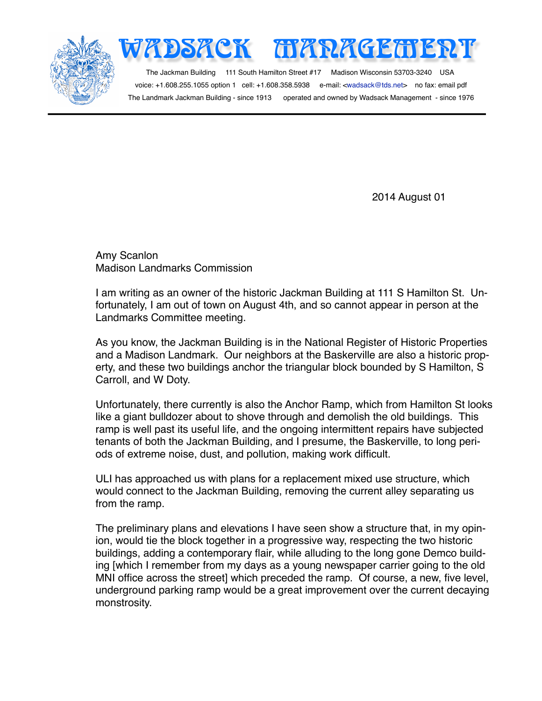

The Landmark Jackman Building - since 1913 operated and owned by Wadsack Management - since 1976

2014 August 01

Amy Scanlon Madison Landmarks Commission

I am writing as an owner of the historic Jackman Building at 111 S Hamilton St. Unfortunately, I am out of town on August 4th, and so cannot appear in person at the Landmarks Committee meeting.

As you know, the Jackman Building is in the National Register of Historic Properties and a Madison Landmark. Our neighbors at the Baskerville are also a historic property, and these two buildings anchor the triangular block bounded by S Hamilton, S Carroll, and W Doty.

Unfortunately, there currently is also the Anchor Ramp, which from Hamilton St looks like a giant bulldozer about to shove through and demolish the old buildings. This ramp is well past its useful life, and the ongoing intermittent repairs have subjected tenants of both the Jackman Building, and I presume, the Baskerville, to long periods of extreme noise, dust, and pollution, making work difficult.

ULI has approached us with plans for a replacement mixed use structure, which would connect to the Jackman Building, removing the current alley separating us from the ramp.

The preliminary plans and elevations I have seen show a structure that, in my opinion, would tie the block together in a progressive way, respecting the two historic buildings, adding a contemporary flair, while alluding to the long gone Demco building [which I remember from my days as a young newspaper carrier going to the old MNI office across the street] which preceded the ramp. Of course, a new, five level, underground parking ramp would be a great improvement over the current decaying monstrosity.